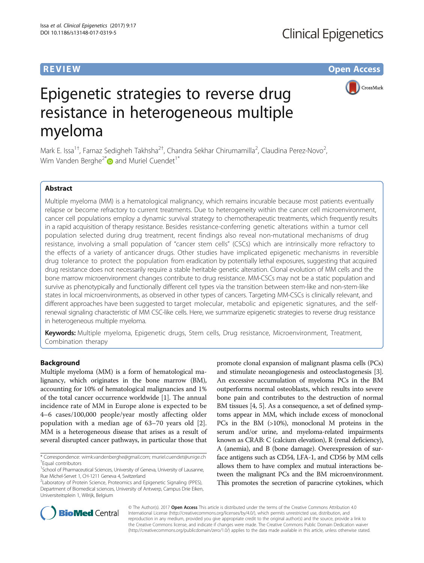**REVIEW CONSTRUCTION CONSTRUCTION CONSTRUCTS** 



# Epigenetic strategies to reverse drug resistance in heterogeneous multiple myeloma

Mark E. Issa<sup>1†</sup>, Farnaz Sedigheh Takhsha<sup>2†</sup>, Chandra Sekhar Chirumamilla<sup>2</sup>, Claudina Perez-Novo<sup>2</sup> .<br>, Wim Vanden Berghe<sup>2[\\*](http://orcid.org/0000-0003-0161-7355)</sup> and Muriel Cuendet<sup>1\*</sup>

# Abstract

Multiple myeloma (MM) is a hematological malignancy, which remains incurable because most patients eventually relapse or become refractory to current treatments. Due to heterogeneity within the cancer cell microenvironment, cancer cell populations employ a dynamic survival strategy to chemotherapeutic treatments, which frequently results in a rapid acquisition of therapy resistance. Besides resistance-conferring genetic alterations within a tumor cell population selected during drug treatment, recent findings also reveal non-mutational mechanisms of drug resistance, involving a small population of "cancer stem cells" (CSCs) which are intrinsically more refractory to the effects of a variety of anticancer drugs. Other studies have implicated epigenetic mechanisms in reversible drug tolerance to protect the population from eradication by potentially lethal exposures, suggesting that acquired drug resistance does not necessarily require a stable heritable genetic alteration. Clonal evolution of MM cells and the bone marrow microenvironment changes contribute to drug resistance. MM-CSCs may not be a static population and survive as phenotypically and functionally different cell types via the transition between stem-like and non-stem-like states in local microenvironments, as observed in other types of cancers. Targeting MM-CSCs is clinically relevant, and different approaches have been suggested to target molecular, metabolic and epigenetic signatures, and the selfrenewal signaling characteristic of MM CSC-like cells. Here, we summarize epigenetic strategies to reverse drug resistance in heterogeneous multiple myeloma.

Keywords: Multiple myeloma, Epigenetic drugs, Stem cells, Drug resistance, Microenvironment, Treatment, Combination therapy

# Background

Multiple myeloma (MM) is a form of hematological malignancy, which originates in the bone marrow (BM), accounting for 10% of hematological malignancies and 1% of the total cancer occurrence worldwide [[1\]](#page-9-0). The annual incidence rate of MM in Europe alone is expected to be 4–6 cases/100,000 people/year mostly affecting older population with a median age of 63–70 years old [\[2](#page-9-0)]. MM is a heterogeneous disease that arises as a result of several disrupted cancer pathways, in particular those that

promote clonal expansion of malignant plasma cells (PCs) and stimulate neoangiogenesis and osteoclastogenesis [[3](#page-9-0)]. An excessive accumulation of myeloma PCs in the BM outperforms normal osteoblasts, which results into severe bone pain and contributes to the destruction of normal BM tissues [\[4](#page-9-0), [5\]](#page-9-0). As a consequence, a set of defined symptoms appear in MM, which include excess of monoclonal PCs in the BM (>10%), monoclonal M proteins in the serum and/or urine, and myeloma-related impairments known as CRAB: C (calcium elevation), R (renal deficiency), A (anemia), and B (bone damage). Overexpression of surface antigens such as CD54, LFA-1, and CD56 by MM cells allows them to have complex and mutual interactions between the malignant PCs and the BM microenvironment. This promotes the secretion of paracrine cytokines, which



© The Author(s). 2017 Open Access This article is distributed under the terms of the Creative Commons Attribution 4.0 International License [\(http://creativecommons.org/licenses/by/4.0/](http://creativecommons.org/licenses/by/4.0/)), which permits unrestricted use, distribution, and reproduction in any medium, provided you give appropriate credit to the original author(s) and the source, provide a link to the Creative Commons license, and indicate if changes were made. The Creative Commons Public Domain Dedication waiver [\(http://creativecommons.org/publicdomain/zero/1.0/](http://creativecommons.org/publicdomain/zero/1.0/)) applies to the data made available in this article, unless otherwise stated.

<sup>\*</sup> Correspondence: [wimk.vandenberghe@gmail.com](mailto:<?A3B2 twb=.27w?><?A3B2 tlsb=-.09pt?>wimk.vandenberghe@gmail.com); [muriel.cuendet@unige.ch](mailto:muriel.cuendet@unige.ch) † Equal contributors

<sup>&</sup>lt;sup>1</sup>School of Pharmaceutical Sciences, University of Geneva, University of Lausanne, Rue Michel-Servet 1, CH-1211 Geneva 4, Switzerland

<sup>&</sup>lt;sup>2</sup>Laboratory of Protein Science, Proteomics and Epigenetic Signaling (PPES), Department of Biomedical sciences, University of Antwerp, Campus Drie Eiken, Universiteitsplein 1, Wilrijk, Belgium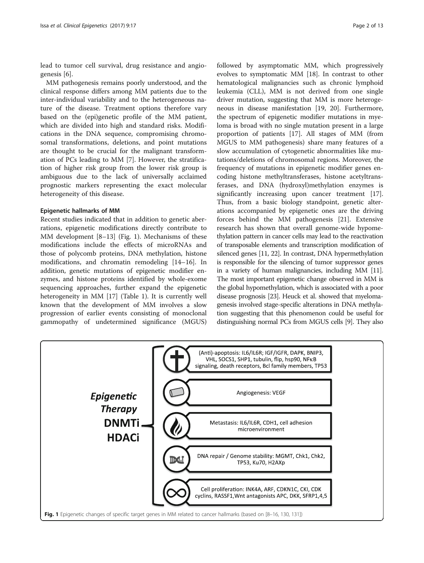lead to tumor cell survival, drug resistance and angiogenesis [\[6](#page-9-0)].

MM pathogenesis remains poorly understood, and the clinical response differs among MM patients due to the inter-individual variability and to the heterogeneous nature of the disease. Treatment options therefore vary based on the (epi)genetic profile of the MM patient, which are divided into high and standard risks. Modifications in the DNA sequence, compromising chromosomal transformations, deletions, and point mutations are thought to be crucial for the malignant transformation of PCs leading to MM [[7\]](#page-9-0). However, the stratification of higher risk group from the lower risk group is ambiguous due to the lack of universally acclaimed prognostic markers representing the exact molecular heterogeneity of this disease.

# Epigenetic hallmarks of MM

Recent studies indicated that in addition to genetic aberrations, epigenetic modifications directly contribute to MM development [[8](#page-9-0)–[13](#page-9-0)] (Fig. 1). Mechanisms of these modifications include the effects of microRNAs and those of polycomb proteins, DNA methylation, histone modifications, and chromatin remodeling [[14](#page-9-0)–[16\]](#page-9-0). In addition, genetic mutations of epigenetic modifier enzymes, and histone proteins identified by whole-exome sequencing approaches, further expand the epigenetic heterogeneity in MM [[17\]](#page-9-0) (Table [1\)](#page-2-0). It is currently well known that the development of MM involves a slow progression of earlier events consisting of monoclonal gammopathy of undetermined significance (MGUS)

followed by asymptomatic MM, which progressively evolves to symptomatic MM [[18\]](#page-9-0). In contrast to other hematological malignancies such as chronic lymphoid leukemia (CLL), MM is not derived from one single driver mutation, suggesting that MM is more heterogeneous in disease manifestation [\[19, 20](#page-10-0)]. Furthermore, the spectrum of epigenetic modifier mutations in myeloma is broad with no single mutation present in a large proportion of patients [\[17](#page-9-0)]. All stages of MM (from MGUS to MM pathogenesis) share many features of a slow accumulation of cytogenetic abnormalities like mutations/deletions of chromosomal regions. Moreover, the frequency of mutations in epigenetic modifier genes encoding histone methyltransferases, histone acetyltransferases, and DNA (hydroxyl)methylation enzymes is significantly increasing upon cancer treatment [\[17](#page-9-0)]. Thus, from a basic biology standpoint, genetic alterations accompanied by epigenetic ones are the driving forces behind the MM pathogenesis [[21\]](#page-10-0). Extensive research has shown that overall genome-wide hypomethylation pattern in cancer cells may lead to the reactivation of transposable elements and transcription modification of silenced genes [\[11,](#page-9-0) [22](#page-10-0)]. In contrast, DNA hypermethylation is responsible for the silencing of tumor suppressor genes in a variety of human malignancies, including MM [\[11](#page-9-0)]. The most important epigenetic change observed in MM is the global hypomethylation, which is associated with a poor disease prognosis [\[23\]](#page-10-0). Heuck et al. showed that myelomagenesis involved stage-specific alterations in DNA methylation suggesting that this phenomenon could be useful for distinguishing normal PCs from MGUS cells [[9](#page-9-0)]. They also

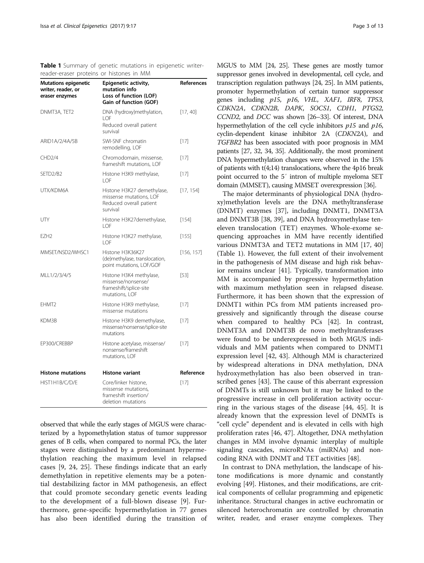<span id="page-2-0"></span>Table 1 Summary of genetic mutations in epigenetic writerreader-eraser proteins or histones in MM

| <b>Mutations epigenetic</b><br>writer, reader, or<br>eraser enzymes | Epigenetic activity,<br>mutation info<br>Loss of function (LOF)<br>Gain of function (GOF)    | References |
|---------------------------------------------------------------------|----------------------------------------------------------------------------------------------|------------|
| DNMT3A, TET2                                                        | DNA (hydroxy)methylation,<br>I OF<br>Reduced overall patient<br>survival                     | [17, 40]   |
| ARID1A/2/4A/5B                                                      | SWI-SNF chromatin<br>remodelling, LOF                                                        | $[17]$     |
| CHD <sub>2/4</sub>                                                  | Chromodomain, missense,<br>frameshift mutations, LOF                                         | $[17]$     |
| SFTD <sub>2</sub> /B <sub>2</sub>                                   | Histone H3K9 methylase,<br>I OF                                                              | [17]       |
| <b>UTX/KDM6A</b>                                                    | Histone H3K27 demethylase,<br>missense mutations, LOF<br>Reduced overall patient<br>survival | [17, 154]  |
| UTY                                                                 | Histone H3K27demethylase,<br>LOF                                                             | [154]      |
| F7H <sub>2</sub>                                                    | Histone H3K27 methylase,<br>LOF                                                              | [155]      |
| MMSET/NSD2/WHSC1                                                    | Histone H3K36K27<br>(de)methylase, translocation,<br>point mutations, LOF/GOF                | [156, 157] |
| MI   1/2/3/4/5                                                      | Histone H3K4 methylase,<br>missense/nonsense/<br>frameshift/splice-site<br>mutations, LOF    | [53]       |
| EHMT <sub>2</sub>                                                   | Histone H3K9 methylase,<br>missense mutations                                                | $[17]$     |
| KDM3B                                                               | Histone H3K9 demethylase,<br>missense/nonsense/splice-site<br>mutations                      | $[17]$     |
| EP300/CREBBP                                                        | Histone acetylase, missense/<br>nonsense/frameshift<br>mutations, LOF                        | $[17]$     |
| <b>Histone mutations</b>                                            | <b>Histone variant</b>                                                                       | Reference  |
| HIST1H1B/C/D/E                                                      | Core/linker histone,<br>missense mutations.<br>frameshift insertion/<br>deletion mutations   | $[17]$     |

observed that while the early stages of MGUS were characterized by a hypomethylation status of tumor suppressor genes of B cells, when compared to normal PCs, the later stages were distinguished by a predominant hypermethylation reaching the maximum level in relapsed cases [\[9](#page-9-0), [24, 25](#page-10-0)]. These findings indicate that an early demethylation in repetitive elements may be a potential destabilizing factor in MM pathogenesis, an effect that could promote secondary genetic events leading to the development of a full-blown disease [[9\]](#page-9-0). Furthermore, gene-specific hypermethylation in 77 genes has also been identified during the transition of

MGUS to MM [\[24](#page-10-0), [25\]](#page-10-0). These genes are mostly tumor suppressor genes involved in developmental, cell cycle, and transcription regulation pathways [\[24](#page-10-0), [25\]](#page-10-0). In MM patients, promoter hypermethylation of certain tumor suppressor genes including p15, p16, VHL, XAF1, IRF8, TP53, CDKN2A, CDKN2B, DAPK, SOCS1, CDH1, PTGS2, CCND2, and DCC was shown [\[26](#page-10-0)–[33](#page-10-0)]. Of interest, DNA hypermethylation of the cell cycle inhibitors *p15* and *p16*, cyclin-dependent kinase inhibitor 2A (CDKN2A), and TGFBR2 has been associated with poor prognosis in MM patients [\[27](#page-10-0), [32](#page-10-0), [34](#page-10-0), [35](#page-10-0)]. Additionally, the most prominent DNA hypermethylation changes were observed in the 15% of patients with t(4;14) translocations, where the 4p16 break point occurred to the 5′ intron of multiple myeloma SET domain (MMSET), causing MMSET overexpression [\[36\]](#page-10-0).

The major determinants of physiological DNA (hydroxy)methylation levels are the DNA methyltransferase (DNMT) enzymes [\[37\]](#page-10-0), including DNMT1, DNMT3A and DNMT3B [[38, 39\]](#page-10-0), and DNA hydroxymethylase teneleven translocation (TET) enzymes. Whole-exome sequencing approaches in MM have recently identified various DNMT3A and TET2 mutations in MM [\[17,](#page-9-0) [40](#page-10-0)] (Table 1). However, the full extent of their involvement in the pathogenesis of MM disease and high risk behavior remains unclear [\[41](#page-10-0)]. Typically, transformation into MM is accompanied by progressive hypermethylation with maximum methylation seen in relapsed disease. Furthermore, it has been shown that the expression of DNMT1 within PCs from MM patients increased progressively and significantly through the disease course when compared to healthy PCs [[42](#page-10-0)]. In contrast, DNMT3A and DNMT3B de novo methyltransferases were found to be underexpressed in both MGUS individuals and MM patients when compared to DNMT1 expression level [[42](#page-10-0), [43\]](#page-10-0). Although MM is characterized by widespread alterations in DNA methylation, DNA hydroxymethylation has also been observed in transcribed genes [[43\]](#page-10-0). The cause of this aberrant expression of DNMTs is still unknown but it may be linked to the progressive increase in cell proliferation activity occurring in the various stages of the disease [[44, 45](#page-10-0)]. It is already known that the expression level of DNMTs is "cell cycle" dependent and is elevated in cells with high proliferation rates [\[46, 47\]](#page-10-0). Altogether, DNA methylation changes in MM involve dynamic interplay of multiple signaling cascades, microRNAs (miRNAs) and noncoding RNA with DNMT and TET activities [[48\]](#page-10-0).

In contrast to DNA methylation, the landscape of histone modifications is more dynamic and constantly evolving [[49\]](#page-10-0). Histones, and their modifications, are critical components of cellular programming and epigenetic inheritance. Structural changes in active euchromatin or silenced heterochromatin are controlled by chromatin writer, reader, and eraser enzyme complexes. They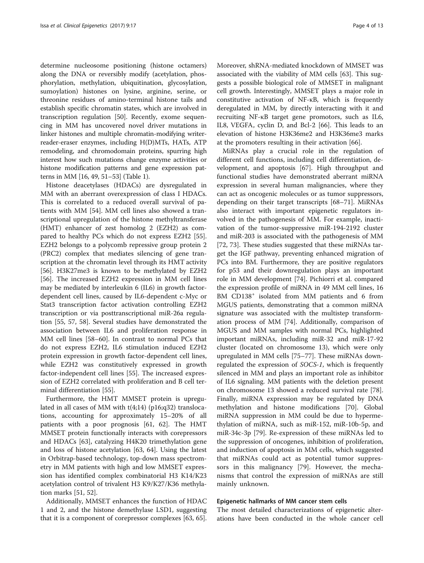determine nucleosome positioning (histone octamers) along the DNA or reversibly modify (acetylation, phosphorylation, methylation, ubiquitination, glycosylation, sumoylation) histones on lysine, arginine, serine, or threonine residues of amino-terminal histone tails and establish specific chromatin states, which are involved in transcription regulation [[50\]](#page-10-0). Recently, exome sequencing in MM has uncovered novel driver mutations in linker histones and multiple chromatin-modifying writerreader-eraser enzymes, including H(D)MTs, HATs, ATP remodeling, and chromodomain proteins, spurring high interest how such mutations change enzyme activities or histone modification patterns and gene expression patterns in MM [[16](#page-9-0), [49](#page-10-0), [51](#page-10-0)–[53](#page-10-0)] (Table [1](#page-2-0)).

Histone deacetylases (HDACs) are dysregulated in MM with an aberrant overexpression of class I HDACs. This is correlated to a reduced overall survival of patients with MM [\[54\]](#page-10-0). MM cell lines also showed a transcriptional upregulation of the histone methyltransferase (HMT) enhancer of zest homolog 2 (EZH2) as compared to healthy PCs which do not express EZH2 [\[55](#page-10-0)]. EZH2 belongs to a polycomb repressive group protein 2 (PRC2) complex that mediates silencing of gene transcription at the chromatin level through its HMT activity [[56\]](#page-10-0). H3K27me3 is known to be methylated by EZH2 [[56\]](#page-10-0). The increased EZH2 expression in MM cell lines may be mediated by interleukin 6 (IL6) in growth factordependent cell lines, caused by IL6-dependent c-Myc or Stat3 transcription factor activation controlling EZH2 transcription or via posttranscriptional miR-26a regulation [[55, 57, 58](#page-10-0)]. Several studies have demonstrated the association between IL6 and proliferation response in MM cell lines [\[58](#page-10-0)–[60\]](#page-10-0). In contrast to normal PCs that do not express EZH2, IL6 stimulation induced EZH2 protein expression in growth factor-dependent cell lines, while EZH2 was constitutively expressed in growth factor-independent cell lines [[55](#page-10-0)]. The increased expression of EZH2 correlated with proliferation and B cell terminal differentiation [[55](#page-10-0)].

Furthermore, the HMT MMSET protein is upregulated in all cases of MM with  $t(4;14)$  (p16;q32) translocations, accounting for approximately 15–20% of all patients with a poor prognosis [[61, 62](#page-10-0)]. The HMT MMSET protein functionally interacts with corepressors and HDACs [\[63](#page-10-0)], catalyzing H4K20 trimethylation gene and loss of histone acetylation [[63](#page-10-0), [64](#page-10-0)]. Using the latest in Orbitrap-based technology, top-down mass spectrometry in MM patients with high and low MMSET expression has identified complex combinatorial H3 K14/K23 acetylation control of trivalent H3 K9/K27/K36 methylation marks [\[51, 52\]](#page-10-0).

Additionally, MMSET enhances the function of HDAC 1 and 2, and the histone demethylase LSD1, suggesting that it is a component of corepressor complexes [[63](#page-10-0), [65](#page-10-0)]. Moreover, shRNA-mediated knockdown of MMSET was associated with the viability of MM cells [[63\]](#page-10-0). This suggests a possible biological role of MMSET in malignant cell growth. Interestingly, MMSET plays a major role in constitutive activation of NF-κB, which is frequently deregulated in MM, by directly interacting with it and recruiting NF-κB target gene promotors, such as IL6, IL8, VEGFA, cyclin D, and Bcl-2 [[66](#page-10-0)]. This leads to an elevation of histone H3K36me2 and H3K36me3 marks at the promoters resulting in their activation [[66](#page-10-0)].

MiRNAs play a crucial role in the regulation of different cell functions, including cell differentiation, development, and apoptosis [\[67](#page-11-0)]. High throughput and functional studies have demonstrated aberrant miRNA expression in several human malignancies, where they can act as oncogenic molecules or as tumor suppressors, depending on their target transcripts [[68](#page-11-0)–[71](#page-11-0)]. MiRNAs also interact with important epigenetic regulators involved in the pathogenesis of MM. For example, inactivation of the tumor-suppressive miR-194-2192 cluster and miR-203 is associated with the pathogenesis of MM [[72, 73\]](#page-11-0). These studies suggested that these miRNAs target the IGF pathway, preventing enhanced migration of PCs into BM. Furthermore, they are positive regulators for p53 and their downregulation plays an important role in MM development [[74](#page-11-0)]. Pichiorri et al. compared the expression profile of miRNA in 49 MM cell lines, 16 BM CD138<sup>+</sup> isolated from MM patients and 6 from MGUS patients, demonstrating that a common miRNA signature was associated with the multistep transformation process of MM [\[74](#page-11-0)]. Additionally, comparison of MGUS and MM samples with normal PCs, highlighted important miRNAs, including miR-32 and miR-17-92 cluster (located on chromosome 13), which were only upregulated in MM cells [[75](#page-11-0)–[77](#page-11-0)]. These miRNAs downregulated the expression of SOCS-1, which is frequently silenced in MM and plays an important role as inhibitor of IL6 signaling. MM patients with the deletion present on chromosome 13 showed a reduced survival rate [\[78](#page-11-0)]. Finally, miRNA expression may be regulated by DNA methylation and histone modifications [\[70](#page-11-0)]. Global miRNA suppression in MM could be due to hypermethylation of miRNA, such as miR-152, miR-10b-5p, and miR-34c-3p [[79](#page-11-0)]. Re-expression of these miRNAs led to the suppression of oncogenes, inhibition of proliferation, and induction of apoptosis in MM cells, which suggested that miRNAs could act as potential tumor suppressors in this malignancy [\[79](#page-11-0)]. However, the mechanisms that control the expression of miRNAs are still mainly unknown.

# Epigenetic hallmarks of MM cancer stem cells

The most detailed characterizations of epigenetic alterations have been conducted in the whole cancer cell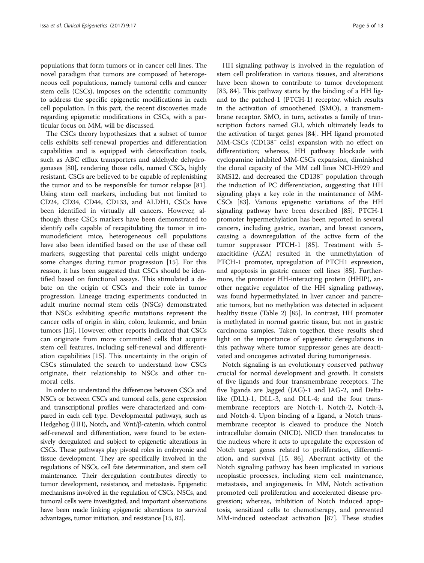populations that form tumors or in cancer cell lines. The novel paradigm that tumors are composed of heterogeneous cell populations, namely tumoral cells and cancer stem cells (CSCs), imposes on the scientific community to address the specific epigenetic modifications in each cell population. In this part, the recent discoveries made regarding epigenetic modifications in CSCs, with a particular focus on MM, will be discussed.

The CSCs theory hypothesizes that a subset of tumor cells exhibits self-renewal properties and differentiation capabilities and is equipped with detoxification tools, such as ABC efflux transporters and aldehyde dehydrogenases [[80](#page-11-0)], rendering those cells, named CSCs, highly resistant. CSCs are believed to be capable of replenishing the tumor and to be responsible for tumor relapse [\[81](#page-11-0)]. Using stem cell markers, including but not limited to CD24, CD34, CD44, CD133, and ALDH1, CSCs have been identified in virtually all cancers. However, although these CSCs markers have been demonstrated to identify cells capable of recapitulating the tumor in immunodeficient mice, heterogeneous cell populations have also been identified based on the use of these cell markers, suggesting that parental cells might undergo some changes during tumor progression [\[15](#page-9-0)]. For this reason, it has been suggested that CSCs should be identified based on functional assays. This stimulated a debate on the origin of CSCs and their role in tumor progression. Lineage tracing experiments conducted in adult murine normal stem cells (NSCs) demonstrated that NSCs exhibiting specific mutations represent the cancer cells of origin in skin, colon, leukemic, and brain tumors [\[15](#page-9-0)]. However, other reports indicated that CSCs can originate from more committed cells that acquire stem cell features, including self-renewal and differentiation capabilities [[15\]](#page-9-0). This uncertainty in the origin of CSCs stimulated the search to understand how CSCs originate, their relationship to NSCs and other tumoral cells.

In order to understand the differences between CSCs and NSCs or between CSCs and tumoral cells, gene expression and transcriptional profiles were characterized and compared in each cell type. Developmental pathways, such as Hedgehog (HH), Notch, and Wnt/β-catenin, which control self-renewal and differentiation, were found to be extensively deregulated and subject to epigenetic alterations in CSCs. These pathways play pivotal roles in embryonic and tissue development. They are specifically involved in the regulations of NSCs, cell fate determination, and stem cell maintenance. Their deregulation contributes directly to tumor development, resistance, and metastasis. Epigenetic mechanisms involved in the regulation of CSCs, NSCs, and tumoral cells were investigated, and important observations have been made linking epigenetic alterations to survival advantages, tumor initiation, and resistance [[15](#page-9-0), [82](#page-11-0)].

HH signaling pathway is involved in the regulation of stem cell proliferation in various tissues, and alterations have been shown to contribute to tumor development [[83, 84\]](#page-11-0). This pathway starts by the binding of a HH ligand to the patched-1 (PTCH-1) receptor, which results in the activation of smoothened (SMO), a transmembrane receptor. SMO, in turn, activates a family of transcription factors named GLI, which ultimately leads to the activation of target genes [[84](#page-11-0)]. HH ligand promoted MM-CSCs (CD138<sup>−</sup> cells) expansion with no effect on differentiation; whereas, HH pathway blockade with cyclopamine inhibited MM-CSCs expansion, diminished the clonal capacity of the MM cell lines NCI-H929 and KMS12, and decreased the CD138<sup>−</sup> population through the induction of PC differentiation, suggesting that HH signaling plays a key role in the maintenance of MM-CSCs [\[83](#page-11-0)]. Various epigenetic variations of the HH signaling pathway have been described [\[85\]](#page-11-0). PTCH-1 promoter hypermethylation has been reported in several cancers, including gastric, ovarian, and breast cancers, causing a downregulation of the active form of the tumor suppressor PTCH-1 [[85\]](#page-11-0). Treatment with 5 azacitidine (AZA) resulted in the unmethylation of PTCH-1 promoter, upregulation of PTCH1 expression, and apoptosis in gastric cancer cell lines [\[85\]](#page-11-0). Furthermore, the promoter HH-interacting protein (HHIP), another negative regulator of the HH signaling pathway, was found hypermethylated in liver cancer and pancreatic tumors, but no methylation was detected in adjacent healthy tissue (Table [2](#page-5-0)) [[85\]](#page-11-0). In contrast, HH promoter is methylated in normal gastric tissue, but not in gastric carcinoma samples. Taken together, these results shed light on the importance of epigenetic deregulations in this pathway where tumor suppressor genes are deactivated and oncogenes activated during tumorigenesis.

Notch signaling is an evolutionary conserved pathway crucial for normal development and growth. It consists of five ligands and four transmembrane receptors. The five ligands are Jagged (JAG)-1 and JAG-2, and Deltalike (DLL)-1, DLL-3, and DLL-4; and the four transmembrane receptors are Notch-1, Notch-2, Notch-3, and Notch-4. Upon binding of a ligand, a Notch transmembrane receptor is cleaved to produce the Notch intracellular domain (NICD). NICD then translocates to the nucleus where it acts to upregulate the expression of Notch target genes related to proliferation, differentiation, and survival [\[15,](#page-9-0) [86\]](#page-11-0). Aberrant activity of the Notch signaling pathway has been implicated in various neoplastic processes, including stem cell maintenance, metastasis, and angiogenesis. In MM, Notch activation promoted cell proliferation and accelerated disease progression; whereas, inhibition of Notch induced apoptosis, sensitized cells to chemotherapy, and prevented MM-induced osteoclast activation [\[87\]](#page-11-0). These studies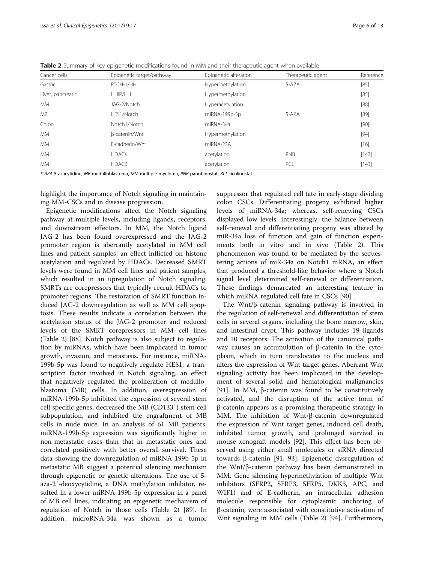<span id="page-5-0"></span>Table 2 Summary of key epigenetic modifications found in MM and their therapeutic agent when available

| Cancer cells      | Epigenetic target/pathway | Epigenetic alteration | Therapeutic agent | Reference |
|-------------------|---------------------------|-----------------------|-------------------|-----------|
| Gastric           | PTCH-1/HH                 | Hypermethylation      | 5-AZA             | [85]      |
| Liver, pancreatic | HHIP/HH                   | Hypermethylation      |                   | $[85]$    |
| <b>MM</b>         | JAG-2/Notch               | Hyperacetylation      |                   | $[88]$    |
| <b>MB</b>         | HES1/Notch                | miRNA-199b-5p         | 5-A7A             | $[89]$    |
| Colon             | Notch1/Notch              | miRNA-34a             |                   | [90]      |
| <b>MM</b>         | β-catenin/Wnt             | Hypermethylation      |                   | $[94]$    |
| <b>MM</b>         | E-cadherin/Wnt            | miRNA-23A             |                   | [16]      |
| <b>MM</b>         | <b>HDACs</b>              | acetylation           | PNB               | [147]     |
| <b>MM</b>         | HDAC6                     | acetylation           | RCL               | [143]     |

5-AZA 5-azacytidine, MB medulloblastoma, MM multiple myeloma, PNB panobinostat, RCL ricolinostat

highlight the importance of Notch signaling in maintaining MM-CSCs and in disease progression.

Epigenetic modifications affect the Notch signaling pathway at multiple levels, including ligands, receptors, and downstream effectors. In MM, the Notch ligand JAG-2 has been found overexpressed and the JAG-2 promoter region is aberrantly acetylated in MM cell lines and patient samples, an effect inflicted on histone acetylation and regulated by HDACs. Decreased SMRT levels were found in MM cell lines and patient samples, which resulted in an upregulation of Notch signaling. SMRTs are corepressors that typically recruit HDACs to promoter regions. The restoration of SMRT function induced JAG-2 downregulation as well as MM cell apoptosis. These results indicate a correlation between the acetylation status of the JAG-2 promoter and reduced levels of the SMRT corepressors in MM cell lines (Table 2) [\[88\]](#page-11-0). Notch pathway is also subject to regulation by miRNAs, which have been implicated in tumor growth, invasion, and metastasis. For instance, miRNA-199b-5p was found to negatively regulate HES1, a transcription factor involved in Notch signaling, an effect that negatively regulated the proliferation of medulloblastoma (MB) cells. In addition, overexpression of miRNA-199b-5p inhibited the expression of several stem cell specific genes, decreased the MB (CD133<sup>+</sup>) stem cell subpopulation, and inhibited the engraftment of MB cells in nude mice. In an analysis of 61 MB patients, miRNA-199b-5p expression was significantly higher in non-metastatic cases than that in metastatic ones and correlated positively with better overall survival. These data showing the downregulation of miRNA-199b-5p in metastatic MB suggest a potential silencing mechanism through epigenetic or genetic alterations. The use of 5 aza-2′-deoxycytidine, a DNA methylation inhibitor, resulted in a lower miRNA-199b-5p expression in a panel of MB cell lines, indicating an epigenetic mechanism of regulation of Notch in those cells (Table 2) [\[89\]](#page-11-0). In addition, microRNA-34a was shown as a tumor suppressor that regulated cell fate in early-stage dividing colon CSCs. Differentiating progeny exhibited higher levels of miRNA-34a; whereas, self-renewing CSCs displayed low levels. Interestingly, the balance between self-renewal and differentiating progeny was altered by miR-34a loss of function and gain of function experiments both in vitro and in vivo (Table 2). This phenomenon was found to be mediated by the sequestering actions of miR-34a on Notch1 mRNA, an effect that produced a threshold-like behavior where a Notch signal level determined self-renewal or differentiation. These findings demarcated an interesting feature in which miRNA regulated cell fate in CSCs [[90\]](#page-11-0).

The Wnt/β-catenin signaling pathway is involved in the regulation of self-renewal and differentiation of stem cells in several organs, including the bone marrow, skin, and intestinal crypt. This pathway includes 19 ligands and 10 receptors. The activation of the canonical pathway causes an accumulation of β-catenin in the cytoplasm, which in turn translocates to the nucleus and alters the expression of Wnt target genes. Aberrant Wnt signaling activity has been implicated in the development of several solid and hematological malignancies [[91\]](#page-11-0). In MM, β-catenin was found to be constitutively activated, and the disruption of the active form of β-catenin appears as a promising therapeutic strategy in MM. The inhibition of Wnt/β-catenin downregulated the expression of Wnt target genes, induced cell death, inhibited tumor growth, and prolonged survival in mouse xenograft models [\[92](#page-11-0)]. This effect has been observed using either small molecules or siRNA directed towards β-catenin [[91, 93](#page-11-0)]. Epigenetic dysregulation of the Wnt/β-catenin pathway has been demonstrated in MM. Gene silencing hypermethylation of multiple Wnt inhibitors (SFRP2, SFRP3, SFRP5, DKK3, APC, and WIF1) and of E-cadherin, an intracellular adhesion molecule responsible for cytoplasmic anchoring of β-catenin, were associated with constitutive activation of Wnt signaling in MM cells (Table 2) [[94](#page-11-0)]. Furthermore,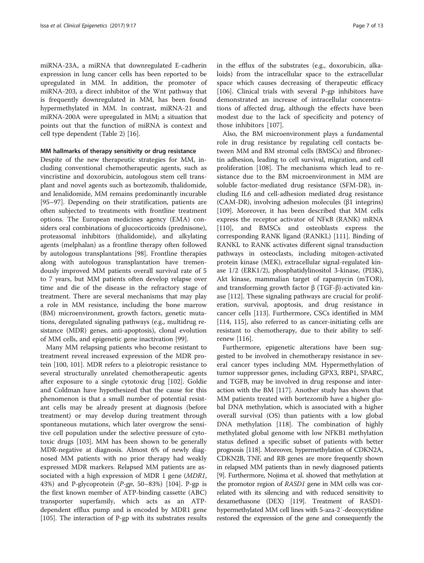miRNA-23A, a miRNA that downregulated E-cadherin expression in lung cancer cells has been reported to be upregulated in MM. In addition, the promoter of miRNA-203, a direct inhibitor of the Wnt pathway that is frequently downregulated in MM, has been found hypermethylated in MM. In contrast, miRNA-21 and miRNA-200A were upregulated in MM; a situation that points out that the function of miRNA is context and cell type dependent (Table [2\)](#page-5-0) [[16\]](#page-9-0).

# MM hallmarks of therapy sensitivity or drug resistance

Despite of the new therapeutic strategies for MM, including conventional chemotherapeutic agents, such as vincristine and doxorubicin, autologous stem cell transplant and novel agents such as bortezomib, thalidomide, and lenalidomide, MM remains predominantly incurable [[95](#page-11-0)–[97](#page-11-0)]. Depending on their stratification, patients are often subjected to treatments with frontline treatment options. The European medicines agency (EMA) considers oral combinations of glucocorticoids (prednisone), proteasomal inhibitors (thalidomide), and alkylating agents (melphalan) as a frontline therapy often followed by autologous transplantations [\[98](#page-11-0)]. Frontline therapies along with autologous transplantation have tremendously improved MM patients overall survival rate of 5 to 7 years, but MM patients often develop relapse over time and die of the disease in the refractory stage of treatment. There are several mechanisms that may play a role in MM resistance, including the bone marrow (BM) microenvironment, growth factors, genetic mutations, deregulated signaling pathways (e.g., multidrug resistance (MDR) genes, anti-apoptosis), clonal evolution of MM cells, and epigenetic gene inactivation [[99](#page-11-0)].

Many MM relapsing patients who become resistant to treatment reveal increased expression of the MDR protein [[100](#page-11-0), [101](#page-11-0)]. MDR refers to a pleiotropic resistance to several structurally unrelated chemotherapeutic agents after exposure to a single cytotoxic drug [[102\]](#page-11-0). Goldie and Coldman have hypothesized that the cause for this phenomenon is that a small number of potential resistant cells may be already present at diagnosis (before treatment) or may develop during treatment through spontaneous mutations, which later overgrow the sensitive cell population under the selective pressure of cytotoxic drugs [[103](#page-11-0)]. MM has been shown to be generally MDR-negative at diagnosis. Almost 6% of newly diagnosed MM patients with no prior therapy had weakly expressed MDR markers. Relapsed MM patients are associated with a high expression of MDR 1 gene (MDR1, 43%) and P-glycoprotein  $(P-gp, 50-83%)$  [\[104\]](#page-11-0). P-gp is the first known member of ATP-binding cassette (ABC) transporter superfamily, which acts as an ATPdependent efflux pump and is encoded by MDR1 gene [[105\]](#page-11-0). The interaction of P-gp with its substrates results in the efflux of the substrates (e.g., doxorubicin, alkaloids) from the intracellular space to the extracellular space which causes decreasing of therapeutic efficacy [[106\]](#page-11-0). Clinical trials with several P-gp inhibitors have demonstrated an increase of intracellular concentrations of affected drug, although the effects have been modest due to the lack of specificity and potency of those inhibitors [\[107](#page-11-0)].

Also, the BM microenvironment plays a fundamental role in drug resistance by regulating cell contacts between MM and BM stromal cells (BMSCs) and fibronectin adhesion, leading to cell survival, migration, and cell proliferation [\[108\]](#page-11-0). The mechanisms which lead to resistance due to the BM microenvironment in MM are soluble factor-mediated drug resistance (SFM-DR), including IL6 and cell-adhesion mediated drug resistance (CAM-DR), involving adhesion molecules (β1 integrins) [[109\]](#page-11-0). Moreover, it has been described that MM cells express the receptor activator of NFκB (RANK) mRNA [[110\]](#page-11-0), and BMSCs and osteoblasts express the corresponding RANK ligand (RANKL) [[111\]](#page-11-0). Binding of RANKL to RANK activates different signal transduction pathways in osteoclasts, including mitogen-activated protein kinase (MEK), extracellular signal-regulated kinase 1/2 (ERK1/2), phosphatidylinositol 3-kinase, (PI3K), Akt kinase, mammalian target of rapamycin (mTOR), and transforming growth factor  $β$  (TGF- $β$ )-activated kinase [\[112](#page-11-0)]. These signaling pathways are crucial for proliferation, survival, apoptosis, and drug resistance in cancer cells [[113](#page-11-0)]. Furthermore, CSCs identified in MM [[114, 115\]](#page-11-0), also referred to as cancer-initiating cells are resistant to chemotherapy, due to their ability to selfrenew [[116](#page-11-0)].

Furthermore, epigenetic alterations have been suggested to be involved in chemotherapy resistance in several cancer types including MM. Hypermethylation of tumor suppressor genes, including GPX3, RBP1, SPARC, and TGFB, may be involved in drug response and interaction with the BM [[117\]](#page-12-0). Another study has shown that MM patients treated with bortezomib have a higher global DNA methylation, which is associated with a higher overall survival (OS) than patients with a low global DNA methylation [\[118](#page-12-0)]. The combination of highly methylated global genome with low NFKB1 methylation status defined a specific subset of patients with better prognosis [[118\]](#page-12-0). Moreover, hypermethylation of CDKN2A, CDKN2B, TNF, and RB genes are more frequently shown in relapsed MM patients than in newly diagnosed patients [[9](#page-9-0)]. Furthermore, Nojima et al. showed that methylation at the promotor region of RASD1 gene in MM cells was correlated with its silencing and with reduced sensitivity to dexamethasone (DEX) [[119\]](#page-12-0). Treatment of RASD1 hypermethylated MM cell lines with 5-aza-2′-deoxycytidine restored the expression of the gene and consequently the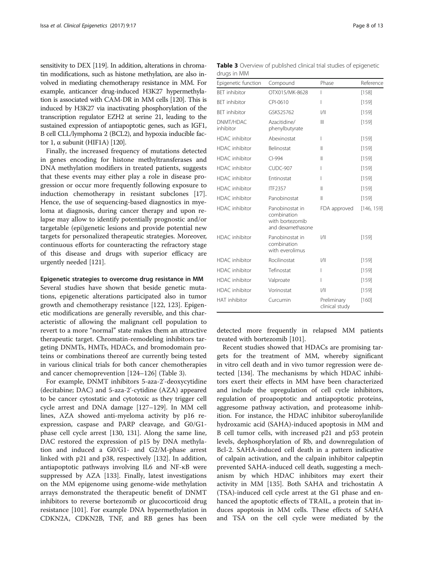<span id="page-7-0"></span>sensitivity to DEX [\[119](#page-12-0)]. In addition, alterations in chromatin modifications, such as histone methylation, are also involved in mediating chemotherapy resistance in MM. For example, anticancer drug-induced H3K27 hypermethylation is associated with CAM-DR in MM cells [\[120](#page-12-0)]. This is induced by H3K27 via inactivating phosphorylation of the transcription regulator EZH2 at serine 21, leading to the sustained expression of antiapoptotic genes, such as IGF1, B cell CLL/lymphoma 2 (BCL2), and hypoxia inducible factor 1, α subunit (HIF1A) [\[120\]](#page-12-0).

Finally, the increased frequency of mutations detected in genes encoding for histone methyltransferases and DNA methylation modifiers in treated patients, suggests that these events may either play a role in disease progression or occur more frequently following exposure to induction chemotherapy in resistant subclones [\[17](#page-9-0)]. Hence, the use of sequencing-based diagnostics in myeloma at diagnosis, during cancer therapy and upon relapse may allow to identify potentially prognostic and/or targetable (epi)genetic lesions and provide potential new targets for personalized therapeutic strategies. Moreover, continuous efforts for counteracting the refractory stage of this disease and drugs with superior efficacy are urgently needed [\[121](#page-12-0)].

### Epigenetic strategies to overcome drug resistance in MM

Several studies have shown that beside genetic mutations, epigenetic alterations participated also in tumor growth and chemotherapy resistance [\[122](#page-12-0), [123](#page-12-0)]. Epigenetic modifications are generally reversible, and this characteristic of allowing the malignant cell population to revert to a more "normal" state makes them an attractive therapeutic target. Chromatin-remodeling inhibitors targeting DNMTs, HMTs, HDACs, and bromodomain proteins or combinations thereof are currently being tested in various clinical trials for both cancer chemotherapies and cancer chemoprevention [[124](#page-12-0)–[126](#page-12-0)] (Table 3).

For example, DNMT inhibitors 5-aza-2'-deoxycytidine (decitabine; DAC) and 5-aza-2'-cytidine (AZA) appeared to be cancer cytostatic and cytotoxic as they trigger cell cycle arrest and DNA damage [[127](#page-12-0)–[129](#page-12-0)]. In MM cell lines, AZA showed anti-myeloma activity by p16 reexpression, caspase and PARP cleavage, and G0/G1 phase cell cycle arrest [\[130, 131\]](#page-12-0). Along the same line, DAC restored the expression of p15 by DNA methylation and induced a G0/G1- and G2/M-phase arrest linked with p21 and p38, respectively [[132\]](#page-12-0). In addition, antiapoptotic pathways involving IL6 and NF-κB were suppressed by AZA [\[133](#page-12-0)]. Finally, latest investigations on the MM epigenome using genome-wide methylation arrays demonstrated the therapeutic benefit of DNMT inhibitors to reverse bortezomib or glucocorticoid drug resistance [\[101](#page-11-0)]. For example DNA hypermethylation in CDKN2A, CDKN2B, TNF, and RB genes has been

Table 3 Overview of published clinical trial studies of epigenetic drugs in MM

| Epigenetic function    | Compound                                                               | Phase                         | Reference  |
|------------------------|------------------------------------------------------------------------|-------------------------------|------------|
| <b>BFT</b> inhibitor   | OTX015/MK-8628                                                         | I                             | [158]      |
| <b>BET</b> inhibitor   | CPI-0610                                                               | I                             | [159]      |
| <b>BET</b> inhibitor   | GSK525762                                                              | 1/11                          | [159]      |
| DNMT/HDAC<br>inhibitor | Azacitidine/<br>phenylbutyrate                                         | $\mathbb{H}$                  | $[159]$    |
| <b>HDAC</b> inhibitor  | Abexinostat                                                            | I                             | $[159]$    |
| <b>HDAC</b> inhibitor  | Belinostat                                                             | $\mathbb{I}$                  | [159]      |
| <b>HDAC</b> inhibitor  | $Cl-994$                                                               | $\mathbf{  }$                 | [159]      |
| <b>HDAC</b> inhibitor  | CUDC-907                                                               | I                             | [159]      |
| HDAC inhibitor         | Entinostat                                                             | I                             | [159]      |
| HDAC inhibitor         | <b>ITF2357</b>                                                         | $\mathbf{  }$                 | [159]      |
| HDAC inhibitor         | Panobinostat                                                           | $\mathbf{  }$                 | [159]      |
| HDAC inhibitor         | Panobinostat in<br>combination<br>with bortezomib<br>and dexamethasone | FDA approved                  | [146, 159] |
| <b>HDAC</b> inhibitor  | Panobinostat in<br>combination<br>with everolimus                      | 1/11                          | [159]      |
| <b>HDAC</b> inhibitor  | Rocilinostat                                                           | 1/11                          | [159]      |
| <b>HDAC</b> inhibitor  | Tefinostat                                                             | I                             | [159]      |
| <b>HDAC</b> inhibitor  | Valproate                                                              | ı                             | $[159]$    |
| <b>HDAC</b> inhibitor  | Vorinostat                                                             | 1/11                          | [159]      |
| HAT inhibitor          | Curcumin                                                               | Preliminary<br>clinical study | [160]      |

detected more frequently in relapsed MM patients treated with bortezomib [[101\]](#page-11-0).

Recent studies showed that HDACs are promising targets for the treatment of MM, whereby significant in vitro cell death and in vivo tumor regression were detected [[134\]](#page-12-0). The mechanisms by which HDAC inhibitors exert their effects in MM have been characterized and include the upregulation of cell cycle inhibitors, regulation of proapoptotic and antiapoptotic proteins, aggresome pathway activation, and proteasome inhibition. For instance, the HDAC inhibitor suberoylanilide hydroxamic acid (SAHA)-induced apoptosis in MM and B cell tumor cells, with increased p21 and p53 protein levels, dephosphorylation of Rb, and downregulation of Bcl-2. SAHA-induced cell death in a pattern indicative of calpain activation, and the calpain inhibitor calpeptin prevented SAHA-induced cell death, suggesting a mechanism by which HDAC inhibitors may exert their activity in MM [\[135](#page-12-0)]. Both SAHA and trichostatin A (TSA)-induced cell cycle arrest at the G1 phase and enhanced the apoptotic effects of TRAIL, a protein that induces apoptosis in MM cells. These effects of SAHA and TSA on the cell cycle were mediated by the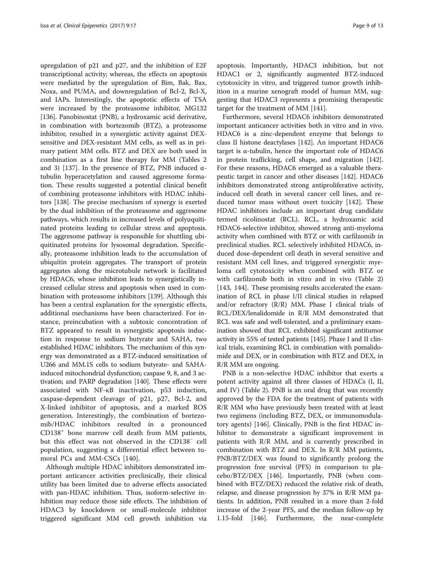upregulation of p21 and p27, and the inhibition of E2F transcriptional activity; whereas, the effects on apoptosis were mediated by the upregulation of Bim, Bak, Bax, Noxa, and PUMA, and downregulation of Bcl-2, Bcl-X, and IAPs. Interestingly, the apoptotic effects of TSA were increased by the proteasome inhibitor, MG132 [[136\]](#page-12-0). Panobinostat (PNB), a hydroxamic acid derivative, in combination with bortezomib (BTZ), a proteasome inhibitor, resulted in a synergistic activity against DEXsensitive and DEX-resistant MM cells, as well as in primary patient MM cells. BTZ and DEX are both used in combination as a first line therapy for MM (Tables [2](#page-5-0) and [3\)](#page-7-0) [\[137\]](#page-12-0). In the presence of BTZ, PNB induced αtubulin hyperacetylation and caused aggresome formation. These results suggested a potential clinical benefit of combining proteasome inhibitors with HDAC inhibitors [\[138\]](#page-12-0). The precise mechanism of synergy is exerted by the dual inhibition of the proteasome and aggresome pathways, which results in increased levels of polyuquitinated proteins leading to cellular stress and apoptosis. The aggresome pathway is responsible for shuttling ubiquitinated proteins for lysosomal degradation. Specifically, proteasome inhibition leads to the accumulation of ubiquitin protein aggregates. The transport of protein aggregates along the microtubule network is facilitated by HDAC6, whose inhibition leads to synergistically increased cellular stress and apoptosis when used in combination with proteasome inhibitors [[139\]](#page-12-0). Although this has been a central explanation for the synergistic effects, additional mechanisms have been characterized. For instance, preincubation with a subtoxic concentration of BTZ appeared to result in synergistic apoptosis induction in response to sodium butyrate and SAHA, two established HDAC inhibitors. The mechanism of this synergy was demonstrated as a BTZ-induced sensitization of U266 and MM.1S cells to sodium butyrate- and SAHAinduced mitochondrial dysfunction; caspase 9, 8, and 3 activation; and PARP degradation [[140](#page-12-0)]. These effects were associated with NF-κB inactivation, p53 induction, caspase-dependent cleavage of p21, p27, Bcl-2, and X-linked inhibitor of apoptosis, and a marked ROS generation. Interestingly, the combination of bortezomib/HDAC inhibitors resulted in a pronounced CD138<sup>+</sup> bone marrow cell death from MM patients, but this effect was not observed in the CD138<sup>−</sup> cell population, suggesting a differential effect between tumoral PCs and MM-CSCs [[140](#page-12-0)].

Although multiple HDAC inhibitors demonstrated important anticancer activities preclinically, their clinical utility has been limited due to adverse effects associated with pan-HDAC inhibition. Thus, isoform-selective inhibition may reduce those side effects. The inhibition of HDAC3 by knockdown or small-molecule inhibitor triggered significant MM cell growth inhibition via apoptosis. Importantly, HDAC3 inhibition, but not HDAC1 or 2, significantly augmented BTZ-induced cytotoxicity in vitro, and triggered tumor growth inhibition in a murine xenograft model of human MM, suggesting that HDAC3 represents a promising therapeutic target for the treatment of MM [[141\]](#page-12-0).

Furthermore, several HDAC6 inhibitors demonstrated important anticancer activities both in vitro and in vivo. HDAC6 is a zinc-dependent enzyme that belongs to class II histone deactylases [[142\]](#page-12-0). An important HDAC6 target is α-tubulin, hence the important role of HDAC6 in protein trafficking, cell shape, and migration [[142](#page-12-0)]. For these reasons, HDAC6 emerged as a valuable therapeutic target in cancer and other diseases [\[142](#page-12-0)]. HDAC6 inhibitors demonstrated strong antiproliferative activity, induced cell death in several cancer cell lines, and reduced tumor mass without overt toxicity [\[142](#page-12-0)]. These HDAC inhibitors include an important drug candidate termed ricolinostat (RCL). RCL, a hydroxamic acid HDAC6-selective inhibitor, showed strong anti-myeloma activity when combined with BTZ or with carfilzomib in preclinical studies. RCL selectively inhibited HDAC6, induced dose-dependent cell death in several sensitive and resistant MM cell lines, and triggered synergistic myeloma cell cytotoxicity when combined with BTZ or with carfilzomib both in vitro and in vivo (Table [2](#page-5-0)) [[143, 144](#page-12-0)]. These promising results accelerated the examination of RCL in phase I/II clinical studies in relapsed and/or refractory (R/R) MM. Phase I clinical trials of RCL/DEX/lenalidomide in R/R MM demonstrated that RCL was safe and well-tolerated, and a preliminary examination showed that RCL exhibited significant antitumor activity in 55% of tested patients [[145](#page-12-0)]. Phase I and II clinical trials, examining RCL in combination with pomalidomide and DEX, or in combination with BTZ and DEX, in R/R MM are ongoing.

PNB is a non-selective HDAC inhibitor that exerts a potent activity against all three classes of HDACs (I, II, and IV) (Table [2](#page-5-0)). PNB is an oral drug that was recently approved by the FDA for the treatment of patients with R/R MM who have previously been treated with at least two regimens (including BTZ, DEX, or immunomodulatory agents) [\[146](#page-12-0)]. Clinically, PNB is the first HDAC inhibitor to demonstrate a significant improvement in patients with R/R MM, and is currently prescribed in combination with BTZ and DEX. In R/R MM patients, PNB/BTZ/DEX was found to significantly prolong the progression free survival (PFS) in comparison to placebo/BTZ/DEX [\[146\]](#page-12-0). Importantly, PNB (when combined with BTZ/DEX) reduced the relative risk of death, relapse, and disease progression by 37% in R/R MM patients. In addition, PNB resulted in a more than 2-fold increase of the 2-year PFS, and the median follow-up by 1.15-fold [[146\]](#page-12-0). Furthermore, the near-complete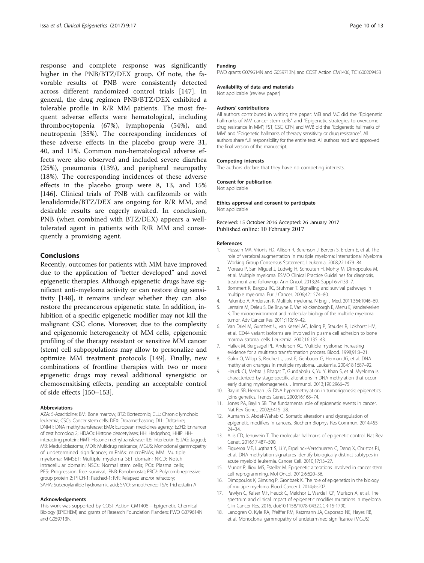<span id="page-9-0"></span>response and complete response was significantly higher in the PNB/BTZ/DEX group. Of note, the favorable results of PNB were consistently detected across different randomized control trials [[147\]](#page-12-0). In general, the drug regimen PNB/BTZ/DEX exhibited a tolerable profile in R/R MM patients. The most frequent adverse effects were hematological, including thrombocytopenia (67%), lymphopenia (54%), and neutropenia (35%). The corresponding incidences of these adverse effects in the placebo group were 31, 40, and 11%. Common non-hematological adverse effects were also observed and included severe diarrhea (25%), pneumonia (13%), and peripheral neuropathy (18%). The corresponding incidences of these adverse effects in the placebo group were 8, 13, and 15% [[146\]](#page-12-0). Clinical trials of PNB with carfilzomib or with lenalidomide/BTZ/DEX are ongoing for R/R MM, and desirable results are eagerly awaited. In conclusion, PNB (when combined with BTZ/DEX) appears a welltolerated agent in patients with R/R MM and consequently a promising agent.

# Conclusions

Recently, outcomes for patients with MM have improved due to the application of "better developed" and novel epigenetic therapies. Although epigenetic drugs have significant anti-myeloma activity or can restore drug sensitivity [\[148](#page-12-0)], it remains unclear whether they can also restore the precancerous epigenetic state. In addition, inhibition of a specific epigenetic modifier may not kill the malignant CSC clone. Moreover, due to the complexity and epigenomic heterogeneity of MM cells, epigenomic profiling of the therapy resistant or sensitive MM cancer (stem) cell subpopulations may allow to personalize and optimize MM treatment protocols [[149](#page-12-0)]. Finally, new combinations of frontline therapies with two or more epigenetic drugs may reveal additional synergistic or chemosensitising effects, pending an acceptable control of side effects [[150](#page-12-0)–[153](#page-12-0)].

#### Abbreviations

AZA: 5-Azacitidine; BM: Bone marrow; BTZ: Bortezomib; CLL: Chronic lymphoid leukemia; CSCs: Cancer stem cells; DEX: Dexamethasone; DLL: Delta-like; DNMT: DNA methyltransferase; EMA: European medicines agency; EZH2: Enhancer of zest homolog 2; HDACs: Histone deacetylases; HH: Hedgehog; HHIP: HHinteracting protein; HMT: Histone methyltransferase; IL6: Interleukin 6; JAG: Jagged; MB: Medulloblastoma; MDR: Multidrug resistance; MGUS: Monoclonal gammopathy of undetermined significance; miRNAs: microRNAs; MM: Multiple myeloma; MMSET: Multiple myeloma SET domain; NICD: Notch intracellular domain; NSCs: Normal stem cells; PCs: Plasma cells; PFS: Progression free survival; PNB: Panobinostat; PRC2: Polycomb repressive group protein 2; PTCH-1: Patched-1; R/R: Relapsed and/or refractory; SAHA: Suberoylanilide hydroxamic acid; SMO: smoothened; TSA: Trichostatin A

#### Acknowledgements

This work was supported by COST Action CM1406—Epigenetic Chemical Biology (EPICHEM) and grants of Research Foundation Flanders: FWO G079614N and G059713N.

### Funding

FWO grants G079614N and G059713N, and COST Action CM1406, TC1600209453

#### Availability of data and materials

Not applicable (review paper)

#### Authors' contributions

All authors contributed in writing the paper: MEI and MC did the "Epigenetic hallmarks of MM cancer stem cells" and "Epigenetic strategies to overcome drug resistance in MM"; FST, CSC, CPN, and WVB did the "Epigenetic hallmarks of MM" and "Epigenetic hallmarks of therapy sensitivity or drug resistance". All authors share full responsibility for the entire text. All authors read and approved the final version of the manuscript.

#### Competing interests

The authors declare that they have no competing interests.

#### Consent for publication

Not applicable

#### Ethics approval and consent to participate Not applicable

Received: 15 October 2016 Accepted: 26 January 2017 Published online: 10 February 2017

#### References

- 1. Hussein MA, Vrionis FD, Allison R, Berenson J, Berven S, Erdem E, et al. The role of vertebral augmentation in multiple myeloma: International Myeloma Working Group Consensus Statement. Leukemia. 2008;22:1479–84.
- 2. Moreau P, San Miguel J, Ludwig H, Schouten H, Mohty M, Dimopoulos M, et al. Multiple myeloma: ESMO Clinical Practice Guidelines for diagnosis, treatment and follow-up. Ann Oncol. 2013;24 Suppl 6:vi133–7.
- 3. Bommert K, Bargou RC, Stuhmer T. Signalling and survival pathways in multiple myeloma. Eur J Cancer. 2006;42:1574–80.
- 4. Palumbo A, Anderson K. Multiple myeloma. N Engl J Med. 2011;364:1046–60.
- 5. Lemaire M, Deleu S, De Bruyne E, Van Valckenborgh E, Menu E, Vanderkerken K. The microenvironment and molecular biology of the multiple myeloma tumor. Adv Cancer Res. 2011;110:19–42.
- Van Driel M, Gunthert U, van Kessel AC, Joling P, Stauder R, Lokhorst HM, et al. CD44 variant isoforms are involved in plasma cell adhesion to bone marrow stromal cells. Leukemia. 2002;16:135–43.
- 7. Hallek M, Bergsagel PL, Anderson KC. Multiple myeloma: increasing evidence for a multistep transformation process. Blood. 1998;91:3–21.
- 8. Galm O, Wilop S, Reichelt J, Jost E, Gehbauer G, Herman JG, et al. DNA methylation changes in multiple myeloma. Leukemia. 2004;18:1687–92.
- 9. Heuck CJ, Mehta J, Bhagat T, Gundabolu K, Yu Y, Khan S, et al. Myeloma is characterized by stage-specific alterations in DNA methylation that occur early during myelomagenesis. J Immunol. 2013;190:2966–75.
- 10. Baylin SB, Herman JG. DNA hypermethylation in tumorigenesis: epigenetics joins genetics. Trends Genet. 2000;16:168–74.
- 11. Jones PA, Baylin SB. The fundamental role of epigenetic events in cancer. Nat Rev Genet. 2002;3:415–28.
- 12. Aumann S, Abdel-Wahab O. Somatic alterations and dysregulation of epigenetic modifiers in cancers. Biochem Biophys Res Commun. 2014;455: 24–34.
- 13. Allis CD, Jenuwein T. The molecular hallmarks of epigenetic control. Nat Rev Genet. 2016;17:487–500.
- 14. Figueroa ME, Lugthart S, Li Y, Erpelinck-Verschueren C, Deng X, Christos PJ, et al. DNA methylation signatures identify biologically distinct subtypes in acute myeloid leukemia. Cancer Cell. 2010;17:13–27.
- 15. Munoz P, Iliou MS, Esteller M. Epigenetic alterations involved in cancer stem cell reprogramming. Mol Oncol. 2012;6:620–36.
- 16. Dimopoulos K, Gimsing P, Gronbaek K. The role of epigenetics in the biology of multiple myeloma. Blood Cancer J. 2014;4:e207.
- 17. Pawlyn C, Kaiser MF, Heuck C, Melchor L, Wardell CP, Murison A, et al. The spectrum and clinical impact of epigenetic modifier mutations in myeloma. Clin Cancer Res. 2016. doi:[10.1158/1078-0432.CCR-15-1790](http://dx.doi.org/10.1158/1078-0432.CCR-15-1790).
- 18. Landgren O, Kyle RA, Pfeiffer RM, Katzmann JA, Caporaso NE, Hayes RB, et al. Monoclonal gammopathy of undetermined significance (MGUS)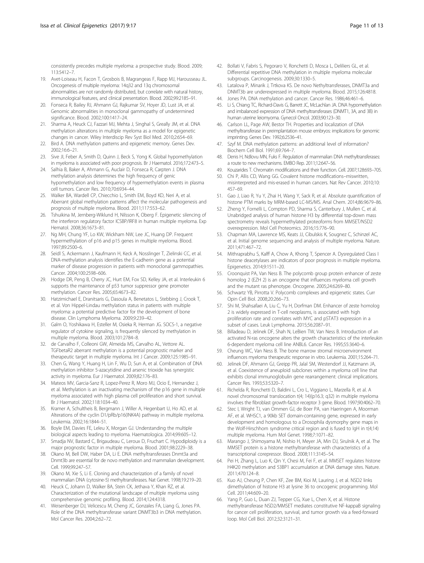<span id="page-10-0"></span>consistently precedes multiple myeloma: a prospective study. Blood. 2009; 113:5412–7.

- 19. Avet-Loiseau H, Facon T, Grosbois B, Magrangeas F, Rapp MJ, Harousseau JL. Oncogenesis of multiple myeloma: 14q32 and 13q chromosomal abnormalities are not randomly distributed, but correlate with natural history, immunological features, and clinical presentation. Blood. 2002;99:2185–91.
- 20. Fonseca R, Bailey RJ, Ahmann GJ, Rajkumar SV, Hoyer JD, Lust JA, et al. Genomic abnormalities in monoclonal gammopathy of undetermined significance. Blood. 2002;100:1417–24.
- 21. Sharma A, Heuck CJ, Fazzari MJ, Mehta J, Singhal S, Greally JM, et al. DNA methylation alterations in multiple myeloma as a model for epigenetic changes in cancer. Wiley Interdiscip Rev Syst Biol Med. 2010;2:654–69.
- 22. Bird A. DNA methylation patterns and epigenetic memory. Genes Dev. 2002;16:6–21.
- 23. Sive JI, Feber A, Smith D, Quinn J, Beck S, Yong K. Global hypomethylation in myeloma is associated with poor prognosis. Br J Haematol. 2016;172:473–5.
- 24. Salhia B, Baker A, Ahmann G, Auclair D, Fonseca R, Carpten J. DNA methylation analysis determines the high frequency of genic hypomethylation and low frequency of hypermethylation events in plasma cell tumors. Cancer Res. 2010;70:6934–44.
- 25. Walker BA, Wardell CP, Chiecchio L, Smith EM, Boyd KD, Neri A, et al. Aberrant global methylation patterns affect the molecular pathogenesis and prognosis of multiple myeloma. Blood. 2011;117:553–62.
- 26. Tshuikina M, Jernberg-Wiklund H, Nilsson K, Oberg F. Epigenetic silencing of the interferon regulatory factor ICSBP/IRF8 in human multiple myeloma. Exp Hematol. 2008;36:1673–81.
- 27. Ng MH, Chung YF, Lo KW, Wickham NW, Lee JC, Huang DP. Frequent hypermethylation of p16 and p15 genes in multiple myeloma. Blood. 1997;89:2500–6.
- 28. Seidl S, Ackermann J, Kaufmann H, Keck A, Nosslinger T, Zielinski CC, et al. DNA-methylation analysis identifies the E-cadherin gene as a potential marker of disease progression in patients with monoclonal gammopathies. Cancer. 2004;100:2598–606.
- 29. Hodge DR, Peng B, Cherry JC, Hurt EM, Fox SD, Kelley JA, et al. Interleukin 6 supports the maintenance of p53 tumor suppressor gene promoter methylation. Cancer Res. 2005;65:4673–82.
- 30. Hatzimichael E, Dranitsaris G, Dasoula A, Benetatos L, Stebbing J, Crook T, et al. Von Hippel-Lindau methylation status in patients with multiple myeloma: a potential predictive factor for the development of bone disease. Clin Lymphoma Myeloma. 2009;9:239–42.
- 31. Galm O, Yoshikawa H, Esteller M, Osieka R, Herman JG. SOCS-1, a negative regulator of cytokine signaling, is frequently silenced by methylation in multiple myeloma. Blood. 2003;101:2784–8.
- 32. de Carvalho F, Colleoni GW, Almeida MS, Carvalho AL, Vettore AL. TGFbetaR2 aberrant methylation is a potential prognostic marker and therapeutic target in multiple myeloma. Int J Cancer. 2009;125:1985–91.
- 33. Chen G, Wang Y, Huang H, Lin F, Wu D, Sun A, et al. Combination of DNA methylation inhibitor 5-azacytidine and arsenic trioxide has synergistic activity in myeloma. Eur J Haematol. 2009;82:176–83.
- 34. Mateos MV, Garcia-Sanz R, Lopez-Perez R, Moro MJ, Ocio E, Hernandez J, et al. Methylation is an inactivating mechanism of the p16 gene in multiple myeloma associated with high plasma cell proliferation and short survival. Br J Haematol. 2002;118:1034–40.
- 35. Kramer A, Schultheis B, Bergmann J, Willer A, Hegenbart U, Ho AD, et al. Alterations of the cyclin D1/pRb/p16(INK4A) pathway in multiple myeloma. Leukemia. 2002;16:1844–51.
- 36. Boyle EM, Davies FE, Leleu X, Morgan GJ. Understanding the multiple biological aspects leading to myeloma. Haematologica. 2014;99:605–12.
- 37. Smadja NV, Bastard C, Brigaudeau C, Leroux D, Fruchart C. Hypodiploidy is a major prognostic factor in multiple myeloma. Blood. 2001;98:2229–38.
- 38. Okano M, Bell DW, Haber DA, Li E. DNA methyltransferases Dnmt3a and Dnmt3b are essential for de novo methylation and mammalian development. Cell. 1999;99:247–57.
- 39. Okano M, Xie S, Li E. Cloning and characterization of a family of novel mammalian DNA (cytosine-5) methyltransferases. Nat Genet. 1998;19:219–20.
- 40. Heuck C, Johann D, Walker BA, Stein CK, Jethava Y, Khan RZ, et al. Characterization of the mutational landscape of multiple myeloma using comprehensive genomic profiling. Blood. 2014;124:4318.
- 41. Weisenberger DJ, Velicescu M, Cheng JC, Gonzales FA, Liang G, Jones PA. Role of the DNA methyltransferase variant DNMT3b3 in DNA methylation. Mol Cancer Res. 2004;2:62–72.
- 42. Bollati V, Fabris S, Pegoraro V, Ronchetti D, Mosca L, Deliliers GL, et al. Differential repetitive DNA methylation in multiple myeloma molecular subgroups. Carcinogenesis. 2009;30:1330–5.
- 43. Latalova P, Minarik J, Trtkova KS. De novo Nethyltransferases, DNMT3a and DNMT3b are underexpressed in multiple myeloma. Blood. 2015;126:4818.
- 44. Jones PA. DNA methylation and cancer. Cancer Res. 1986;46:461–6.
- 45. Li S, Chiang TC, Richard-Davis G, Barrett JC, McLachlan JA. DNA hypomethylation and imbalanced expression of DNA methyltransferases (DNMT1, 3A, and 3B) in human uterine leiomyoma. Gynecol Oncol. 2003;90:123–30.
- 46. Carlson LL, Page AW, Bestor TH. Properties and localization of DNA methyltransferase in preimplantation mouse embryos: implications for genomic imprinting. Genes Dev. 1992;6:2536–41.
- 47. Szyf M. DNA methylation patterns: an additional level of information? Biochem Cell Biol. 1991;69:764–7.
- 48. Denis H, Ndlovu MN, Fuks F. Regulation of mammalian DNA methyltransferases: a route to new mechanisms. EMBO Rep. 2011;12:647–56.
- 49. Kouzarides T. Chromatin modifications and their function. Cell. 2007;128:693–705.
- 50. Chi P, Allis CD, Wang GG. Covalent histone modifications–miswritten, misinterpreted and mis-erased in human cancers. Nat Rev Cancer. 2010;10: 457–69.
- 51. Gao J, Liao R, Yu Y, Zhai H, Wang Y, Sack R, et al. Absolute quantification of histone PTM marks by MRM-based LC-MS/MS. Anal Chem. 2014;86:9679–86.
- 52. Zheng Y, Fornelli L, Compton PD, Sharma S, Canterbury J, Mullen C, et al. Unabridged analysis of human histone H3 by differential top-down mass spectrometry reveals hypermethylated proteoforms from MMSET/NSD2 overexpression. Mol Cell Proteomics. 2016;15:776–90.
- 53. Chapman MA, Lawrence MS, Keats JJ, Cibulskis K, Sougnez C, Schinzel AC, et al. Initial genome sequencing and analysis of multiple myeloma. Nature. 2011;471:467–72.
- 54. Mithraprabhu S, Kalff A, Chow A, Khong T, Spencer A. Dysregulated Class I histone deacetylases are indicators of poor prognosis in multiple myeloma. Epigenetics. 2014;9:1511–20.
- 55. Croonquist PA, Van Ness B. The polycomb group protein enhancer of zeste homolog 2 (EZH 2) is an oncogene that influences myeloma cell growth and the mutant ras phenotype. Oncogene. 2005;24:6269–80.
- 56. Schwartz YB, Pirrotta V. Polycomb complexes and epigenetic states. Curr Opin Cell Biol. 2008;20:266–73.
- 57. Shi M, Shahsafaei A, Liu C, Yu H, Dorfman DM. Enhancer of zeste homolog 2 is widely expressed in T-cell neoplasms, is associated with high proliferation rate and correlates with MYC and pSTAT3 expression in a subset of cases. Leuk Lymphoma. 2015;56:2087–91.
- 58. Billadeau D, Jelinek DF, Shah N, LeBien TW, Van Ness B. Introduction of an activated N-ras oncogene alters the growth characteristics of the interleukin 6-dependent myeloma cell line ANBL6. Cancer Res. 1995;55:3640–6.
- 59. Cheung WC, Van Ness B. The bone marrow stromal microenvironment influences myeloma therapeutic response in vitro. Leukemia. 2001;15:264–71.
- 60. Jelinek DF, Ahmann GJ, Greipp PR, Jalal SM, Westendorf JJ, Katzmann JA, et al. Coexistence of aneuploid subclones within a myeloma cell line that exhibits clonal immunoglobulin gene rearrangement: clinical implications. Cancer Res. 1993;53:5320–7.
- 61. Richelda R, Ronchetti D, Baldini L, Cro L, Viggiano L, Marzella R, et al. A novel chromosomal translocation t(4; 14)(p16.3; q32) in multiple myeloma involves the fibroblast growth-factor receptor 3 gene. Blood. 1997;90:4062–70.
- 62. Stec I, Wright TJ, van Ommen GJ, de Boer PA, van Haeringen A, Moorman AF, et al. WHSC1, a 90kb SET domain-containing gene, expressed in early development and homologous to a Drosophila dysmorphy gene maps in the Wolf-Hirschhorn syndrome critical region and is fused to IgH in t(4;14) multiple myeloma. Hum Mol Genet. 1998;7:1071–82.
- 63. Marango J, Shimoyama M, Nishio H, Meyer JA, Min DJ, Sirulnik A, et al. The MMSET protein is a histone methyltransferase with characteristics of a transcriptional corepressor. Blood. 2008;111:3145–54.
- 64. Pei H, Zhang L, Luo K, Qin Y, Chesi M, Fei F, et al. MMSET regulates histone H4K20 methylation and 53BP1 accumulation at DNA damage sites. Nature. 2011;470:124–8.
- 65. Kuo AJ, Cheung P, Chen KF, Zee BM, Kioi M, Lauring J, et al. NSD2 links dimethylation of histone H3 at lysine 36 to oncogenic programming. Mol Cell. 2011;44:609–20.
- 66. Yang P, Guo L, Duan ZJ, Tepper CG, Xue L, Chen X, et al. Histone methyltransferase NSD2/MMSET mediates constitutive NF-kappaB signaling for cancer cell proliferation, survival, and tumor growth via a feed-forward loop. Mol Cell Biol. 2012;32:3121–31.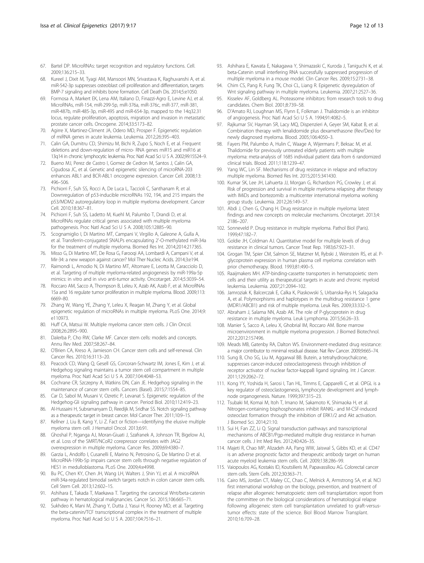- <span id="page-11-0"></span>67. Bartel DP. MicroRNAs: target recognition and regulatory functions. Cell. 2009;136:215–33.
- 68. Kureel J, Dixit M, Tyagi AM, Mansoori MN, Srivastava K, Raghuvanshi A, et al. miR-542-3p suppresses osteoblast cell proliferation and differentiation, targets BMP-7 signaling and inhibits bone formation. Cell Death Dis. 2014;5:e1050.
- 69. Formosa A, Markert EK, Lena AM, Italiano D, Finazzi-Agro E, Levine AJ, et al. MicroRNAs, miR-154, miR-299-5p, miR-376a, miR-376c, miR-377, miR-381, miR-487b, miR-485-3p, miR-495 and miR-654-3p, mapped to the 14q32.31 locus, regulate proliferation, apoptosis, migration and invasion in metastatic prostate cancer cells. Oncogene. 2014;33:5173–82.
- 70. Agirre X, Martinez-Climent JA, Odero MD, Prosper F. Epigenetic regulation of miRNA genes in acute leukemia. Leukemia. 2012;26:395–403.
- 71. Calin GA, Dumitru CD, Shimizu M, Bichi R, Zupo S, Noch E, et al. Frequent deletions and down-regulation of micro- RNA genes miR15 and miR16 at 13q14 in chronic lymphocytic leukemia. Proc Natl Acad Sci U S A. 2002;99:15524–9.
- 72. Bueno MJ, Perez de Castro I, Gomez de Cedron M, Santos J, Calin GA, Cigudosa JC, et al. Genetic and epigenetic silencing of microRNA-203 enhances ABL1 and BCR-ABL1 oncogene expression. Cancer Cell. 2008;13: 496–506.
- 73. Pichiorri F, Suh SS, Rocci A, De Luca L, Taccioli C, Santhanam R, et al. Downregulation of p53-inducible microRNAs 192, 194, and 215 impairs the p53/MDM2 autoregulatory loop in multiple myeloma development. Cancer Cell. 2010;18:367–81.
- 74. Pichiorri F, Suh SS, Ladetto M, Kuehl M, Palumbo T, Drandi D, et al. MicroRNAs regulate critical genes associated with multiple myeloma pathogenesis. Proc Natl Acad Sci U S A. 2008;105:12885–90.
- 75. Scognamiglio I, Di Martino MT, Campani V, Virgilio A, Galeone A, Gulla A, et al. Transferrin-conjugated SNALPs encapsulating 2'-O-methylated miR-34a for the treatment of multiple myeloma. Biomed Res Int. 2014;2014:217365.
- 76. Misso G, Di Martino MT, De Rosa G, Farooqi AA, Lombardi A, Campani V, et al. Mir-34: a new weapon against cancer? Mol Ther Nucleic Acids. 2014;3:e194.
- 77. Raimondi L, Amodio N, Di Martino MT, Altomare E, Leotta M, Caracciolo D, et al. Targeting of multiple myeloma-related angiogenesis by miR-199a-5p mimics: in vitro and in vivo anti-tumor activity. Oncotarget. 2014;5:3039–54.
- 78. Roccaro AM, Sacco A, Thompson B, Leleu X, Azab AK, Azab F, et al. MicroRNAs 15a and 16 regulate tumor proliferation in multiple myeloma. Blood. 2009;113: 6669–80.
- 79. Zhang W, Wang YE, Zhang Y, Leleu X, Reagan M, Zhang Y, et al. Global epigenetic regulation of microRNAs in multiple myeloma. PLoS One. 2014;9: e110973.
- 80. Huff CA, Matsui W. Multiple myeloma cancer stem cells. J Clin Oncol. 2008;26:2895–900.
- 81. Dalerba P, Cho RW, Clarke MF. Cancer stem cells: models and concepts. Annu Rev Med. 2007;58:267–84.
- 82. O'Brien CA, Kreso A, Jamieson CH. Cancer stem cells and self-renewal. Clin Cancer Res. 2010;16:3113–20.
- 83. Peacock CD, Wang Q, Gesell GS, Corcoran-Schwartz IM, Jones E, Kim J, et al. Hedgehog signaling maintains a tumor stem cell compartment in multiple myeloma. Proc Natl Acad Sci U S A. 2007;104:4048–53.
- 84. Cochrane CR, Szczepny A, Watkins DN, Cain JE. Hedgehog signaling in the maintenance of cancer stem cells. Cancers (Basel). 2015;7:1554–85.
- 85. Car D, Sabol M, Musani V, Ozretic P, Levanat S. Epigenetic regulation of the Hedgehog-Gli signaling pathway in cancer. Period Biol. 2010;112:419–23.
- 86. Al-Hussaini H, Subramanyam D, Reedijk M, Sridhar SS. Notch signaling pathway as a therapeutic target in breast cancer. Mol Cancer Ther. 2011;10:9–15.
- 87. Kellner J, Liu B, Kang Y, Li Z. Fact or fiction—identifying the elusive multiple myeloma stem cell. J Hematol Oncol. 2013;6:91.
- 88. Ghoshal P, Nganga AJ, Moran-Giuati J, Szafranek A, Johnson TR, Bigelow AJ, et al. Loss of the SMRT/NCoR2 corepressor correlates with JAG2 overexpression in multiple myeloma. Cancer Res. 2009;69:4380–7.
- 89. Garzia L, Andolfo I, Cusanelli E, Marino N, Petrosino G, De Martino D et al. MicroRNA-199b-5p impairs cancer stem cells through negative regulation of HES1 in medulloblastoma. PLoS One. 2009;4:e4998.
- 90. Bu PC, Chen KY, Chen JH, Wang LH, Walters J, Shin YJ, et al. A microRNA miR-34a-regulated bimodal switch targets notch in colon cancer stem cells. Cell Stem Cell. 2013;12:602–15.
- 91. Ashihara E, Takada T, Maekawa T. Targeting the canonical Wnt/beta-catenin pathway in hematological malignancies. Cancer Sci. 2015;106:665–71.
- 92. Sukhdeo K, Mani M, Zhang Y, Dutta J, Yasui H, Rooney MD, et al. Targeting the beta-catenin/TCF transcriptional complex in the treatment of multiple myeloma. Proc Natl Acad Sci U S A. 2007;104:7516–21.
- 93. Ashihara E, Kawata E, Nakagawa Y, Shimazaski C, Kuroda J, Taniguchi K, et al. beta-Catenin small interfering RNA successfully suppressed progression of multiple myeloma in a mouse model. Clin Cancer Res. 2009;15:2731–38.
- 94. Chim CS, Pang R, Fung TK, Choi CL, Liang R. Epigenetic dysregulation of Wnt signaling pathway in multiple myeloma. Leukemia. 2007;21:2527–36.
- 95. Kisselev AF, Goldberg AL. Proteasome inhibitors: from research tools to drug candidates. Chem Biol. 2001;8:739–58.
- 96. D'Amato RJ, Loughnan MS, Flynn E, Folkman J. Thalidomide is an inhibitor of angiogenesis. Proc Natl Acad Sci U S A. 1994;91:4082–5.
- 97. Rajkumar SV, Hayman SR, Lacy MQ, Dispenzieri A, Geyer SM, Kabat B, et al. Combination therapy with lenalidomide plus dexamethasone (Rev/Dex) for newly diagnosed myeloma. Blood. 2005;106:4050–3.
- 98. Fayers PM, Palumbo A, Hulin C, Waage A, Wijermans P, Beksac M, et al. Thalidomide for previously untreated elderly patients with multiple myeloma: meta-analysis of 1685 individual patient data from 6 randomized clinical trials. Blood. 2011;118:1239–47.
- 99. Yang WC, Lin SF. Mechanisms of drug resistance in relapse and refractory multiple myeloma. Biomed Res Int. 2015;2015:341430.
- 100. Kumar SK, Lee JH, Lahuerta JJ, Morgan G, Richardson PG, Crowley J, et al. Risk of progression and survival in multiple myeloma relapsing after therapy with IMiDs and bortezomib: a multicenter international myeloma working group study. Leukemia. 2012;26:149–57.
- 101. Abdi J, Chen G, Chang H. Drug resistance in multiple myeloma: latest findings and new concepts on molecular mechanisms. Oncotarget. 2013;4: 2186–207.
- 102. Sonneveld P. Drug resistance in multiple myeloma. Pathol Biol (Paris). 1999;47:182–7.
- 103. Goldie JH, Coldman AJ. Quantitative model for multiple levels of drug resistance in clinical tumors. Cancer Treat Rep. 1983;67:923–31.
- 104. Grogan TM, Spier CM, Salmon SE, Matzner M, Rybski J, Weinstein RS, et al. Pglycoprotein expression in human plasma cell myeloma: correlation with prior chemotherapy. Blood. 1993;81:490–5.
- 105. Raaijmakers MH. ATP-binding-cassette transporters in hematopoietic stem cells and their utility as therapeutical targets in acute and chronic myeloid leukemia. Leukemia. 2007;21:2094–102.
- 106. Jamroziak K, Balcerczak E, Calka K, Piaskowski S, Urbanska-Rys H, Salagacka A, et al. Polymorphisms and haplotypes in the multidrug resistance 1 gene (MDR1/ABCB1) and risk of multiple myeloma. Leuk Res. 2009;33:332–5.
- 107. Abraham J, Salama NN, Azab AK. The role of P-glycoprotein in drug resistance in multiple myeloma. Leuk Lymphoma. 2015;56:26–33.
- 108. Manier S, Sacco A, Leleu X, Ghobrial IM, Roccaro AM. Bone marrow microenvironment in multiple myeloma progression. J Biomed Biotechnol. 2012;2012:157496.
- 109. Meads MB, Gatenby RA, Dalton WS. Environment-mediated drug resistance: a major contributor to minimal residual disease. Nat Rev Cancer. 2009;9:665–74.
- 110. Sung B, Cho SG, Liu M, Aggarwal BB. Butein, a tetrahydroxychalcone, suppresses cancer-induced osteoclastogenesis through inhibition of receptor activator of nuclear factor-kappaB ligand signaling. Int J Cancer. 2011;129:2062–72.
- 111. Kong YY, Yoshida H, Sarosi I, Tan HL, Timms E, Capparelli C, et al. OPGL is a key regulator of osteoclastogenesis, lymphocyte development and lymphnode organogenesis. Nature. 1999;397:315–23.
- 112. Tsubaki M, Komai M, Itoh T, Imano M, Sakamoto K, Shimaoka H, et al. Nitrogen-containing bisphosphonates inhibit RANKL- and M-CSF-induced osteoclast formation through the inhibition of ERK1/2 and Akt activation. J Biomed Sci. 2014;21:10.
- 113. Sui H, Fan ZZ, Li Q. Signal transduction pathways and transcriptional mechanisms of ABCB1/Pgp-mediated multiple drug resistance in human cancer cells. J Int Med Res. 2012;40:426–35.
- 114. Majeti R, Chao MP, Alizadeh AA, Pang WW, Jaiswal S, Gibbs KD, et al. CD47 is an adverse prognostic factor and therapeutic antibody target on human acute myeloid leukemia stem cells. Cell. 2009;138:286–99.
- 115. Vaiopoulos AG, Kostakis ID, Koutsilieris M, Papavassiliou AG. Colorectal cancer stem cells. Stem Cells. 2012;30:363–71.
- 116. Cairo MS, Jordan CT, Maley CC, Chao C, Melnick A, Armstrong SA, et al. NCI first international workshop on the biology, prevention, and treatment of relapse after allogeneic hematopoietic stem cell transplantation: report from the committee on the biological considerations of hematological relapse following allogeneic stem cell transplantation unrelated to graft-versustumor effects: state of the science. Biol Blood Marrow Transplant. 2010;16:709–28.